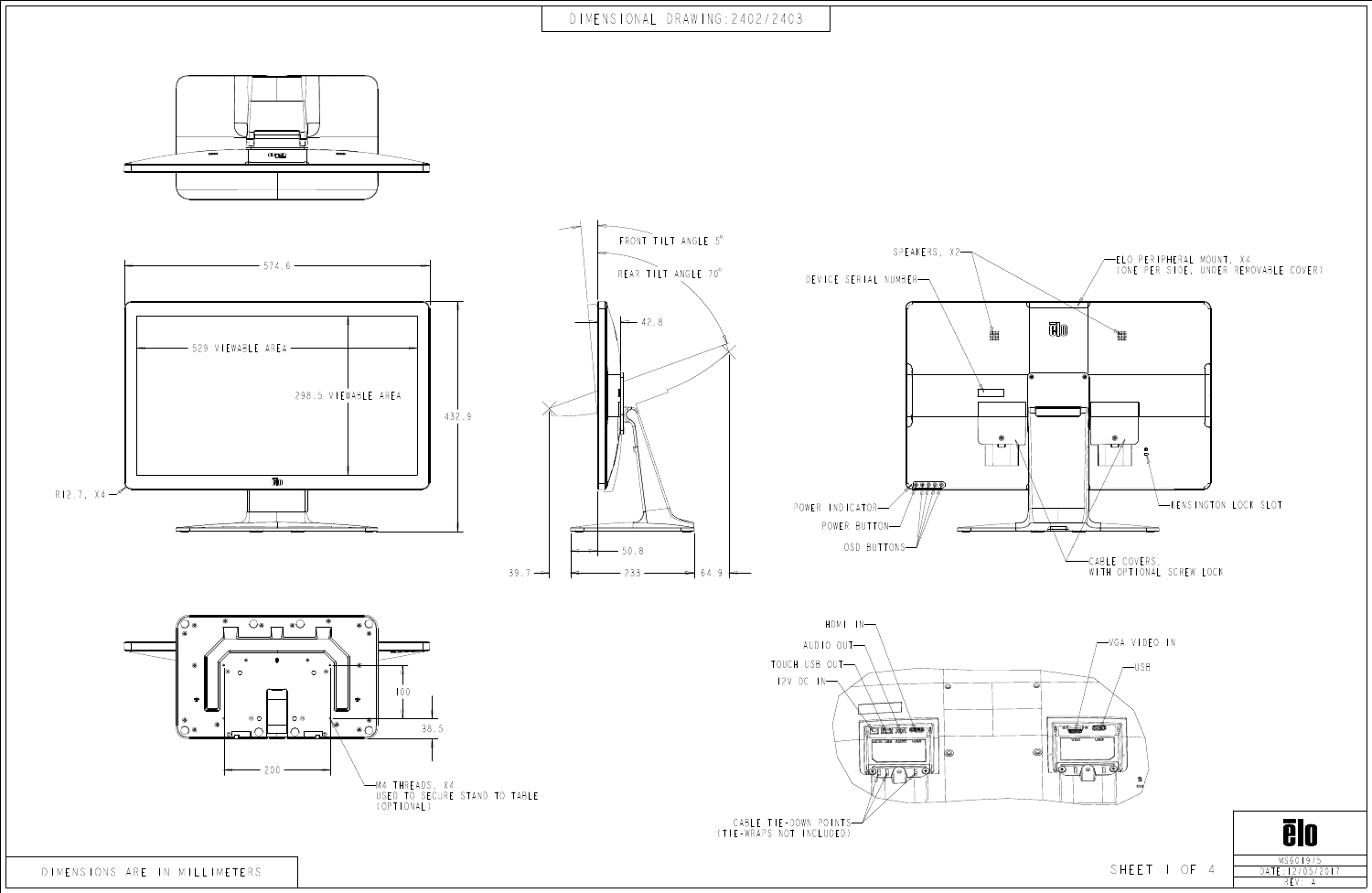

REV: A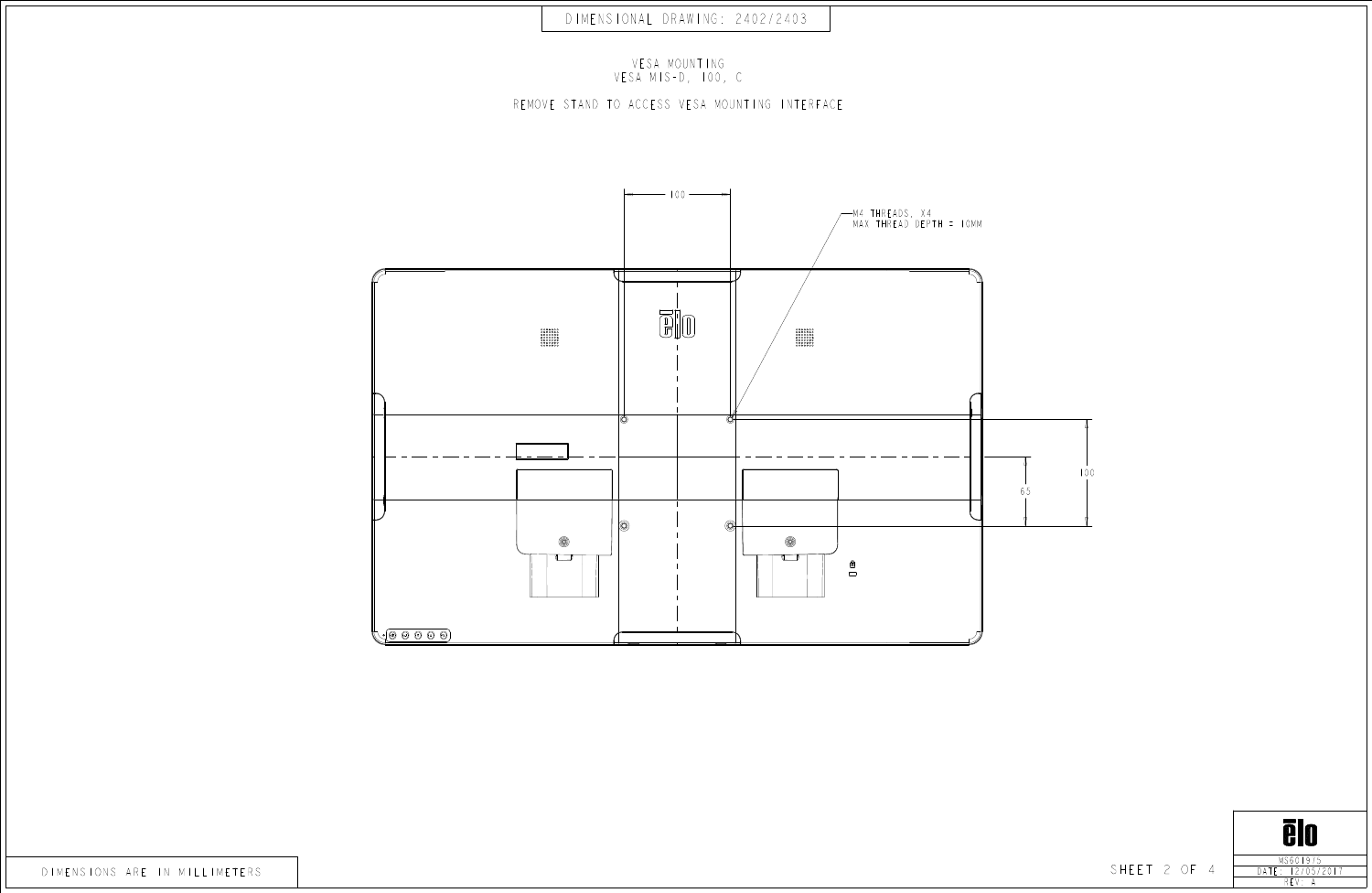





VESA MOUNTING VESA MIS-D, 100, C

REMOVE STAND TO ACCESS VESA MOUNTING INTERFACE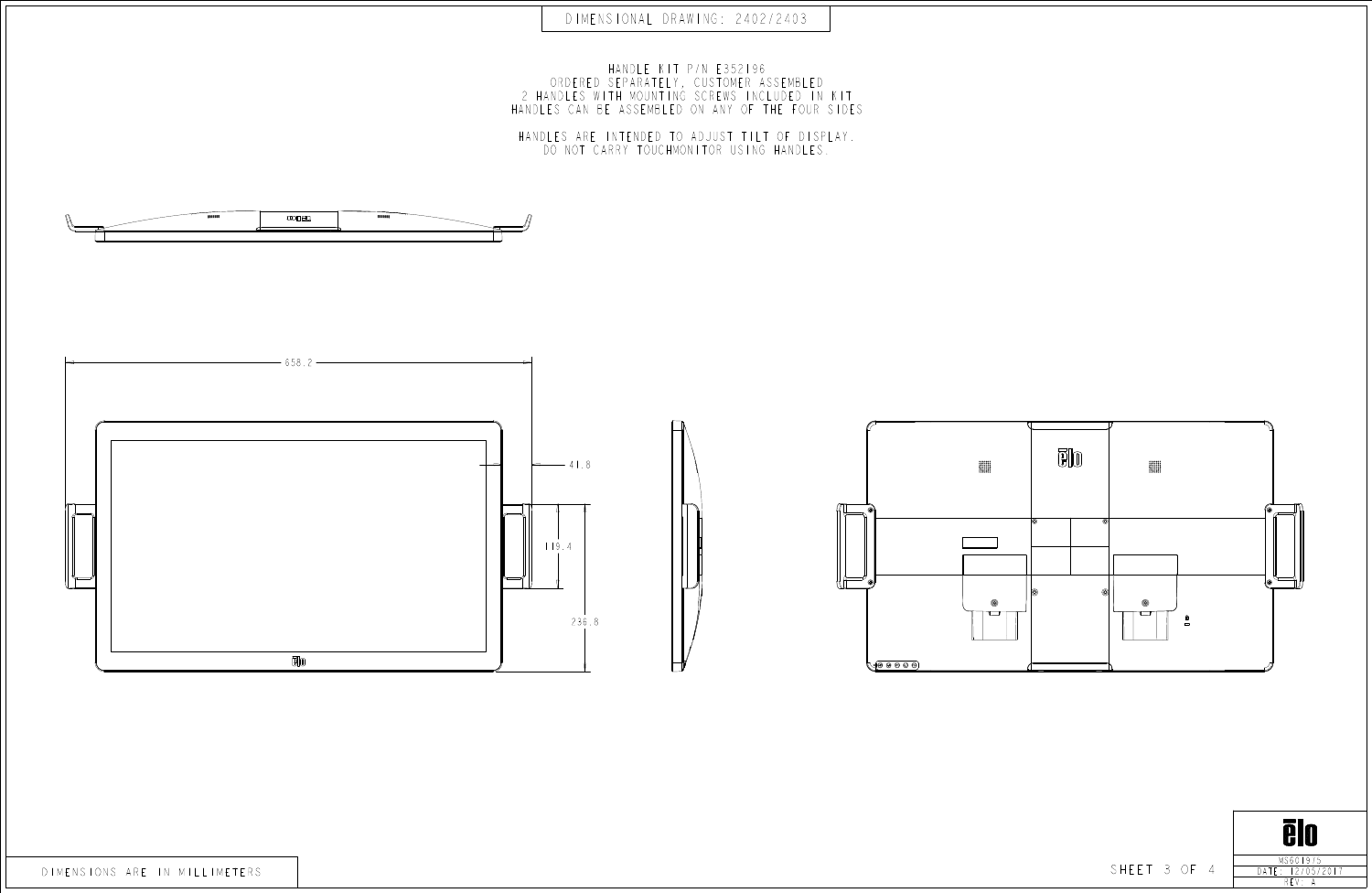

DIMENSIONAL DRAWING: 2402/2403



HANDLE KIT P/N E352196 ORDERED SEPARATELY, CUSTOMER ASSEMBLED 2 HANDLES WITH MOUNTING SCREWS INCLUDED IN KIT HANDLES CAN BE ASSEMBLED ON ANY OF THE FOUR SIDES

HANDLES ARE INTENDED TO ADJUST TILT OF DISPLAY. DO NOT CARRY TOUCHMONITOR USING HANDLES.